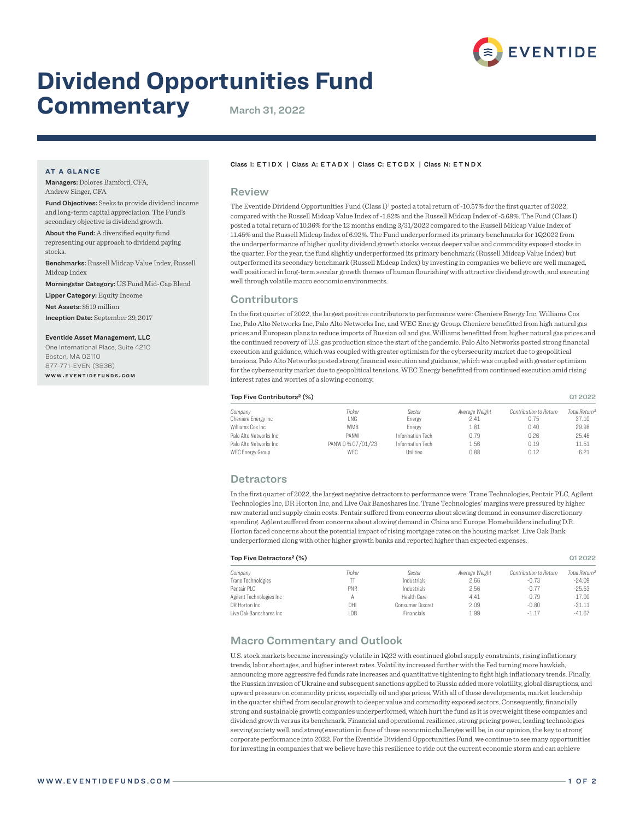

# **Dividend Opportunities Fund**

# **Commentary** March 31, 2022

#### **AT A GLANCE**

Managers: Dolores Bamford, CFA, Andrew Singer, CFA

Fund Objectives: Seeks to provide dividend income and long-term capital appreciation. The Fund's secondary objective is dividend growth.

About the Fund: A diversified equity fund representing our approach to dividend paying stocks.

Benchmarks: Russell Midcap Value Index, Russell Midcap Index

Morningstar Category: US Fund Mid-Cap Blend

Lipper Category: Equity Income

Net Assets: \$519 million

Inception Date: September 29, 2017

Eventide Asset Management, LLC One International Place, Suite 4210

Boston, MA 02110 877-771-EVEN (3836) **w w w . e v e n t i d e f u n d s . c o m**

#### Class I: ETIDX | Class A: ETADX | Class C: ETCDX | Class N: ETNDX

#### Review

The Eventide Dividend Opportunities Fund (Class I)<sup>1</sup> posted a total return of -10.57% for the first quarter of 2022, compared with the Russell Midcap Value Index of -1.82% and the Russell Midcap Index of -5.68%. The Fund (Class I) posted a total return of 10.36% for the 12 months ending 3/31/2022 compared to the Russell Midcap Value Index of 11.45% and the Russell Midcap Index of 6.92%. The Fund underperformed its primary benchmarks for 1Q2022 from the underperformance of higher quality dividend growth stocks versus deeper value and commodity exposed stocks in the quarter. For the year, the fund slightly underperformed its primary benchmark (Russell Midcap Value Index) but outperformed its secondary benchmark (Russell Midcap Index) by investing in companies we believe are well managed, well positioned in long-term secular growth themes of human flourishing with attractive dividend growth, and executing well through volatile macro economic environments.

## **Contributors**

In the first quarter of 2022, the largest positive contributors to performance were: Cheniere Energy Inc, Williams Cos Inc, Palo Alto Networks Inc, Palo Alto Networks Inc, and WEC Energy Group. Cheniere benefitted from high natural gas prices and European plans to reduce imports of Russian oil and gas. Williams benefitted from higher natural gas prices and the continued recovery of U.S. gas production since the start of the pandemic. Palo Alto Networks posted strong financial execution and guidance, which was coupled with greater optimism for the cybersecurity market due to geopolitical tensions. Palo Alto Networks posted strong financial execution and guidance, which was coupled with greater optimism for the cybersecurity market due to geopolitical tensions. WEC Energy benefitted from continued execution amid rising interest rates and worries of a slowing economy.

| Top Five Contributors <sup>2</sup> (%) |                   |                  |                |                        |                           |
|----------------------------------------|-------------------|------------------|----------------|------------------------|---------------------------|
| Company                                | Ticker            | Sector           | Average Weight | Contribution to Return | Total Return <sup>3</sup> |
| Cheniere Energy Inc                    | LNG               | Energy           | 2.41           | 0.75                   | 37.10                     |
| Williams Cos Inc                       | WMB               | Energy           | 1.81           | 0.40                   | 29.98                     |
| Palo Alto Networks Inc                 | PANW              | Information Tech | 0.79           | 0.26                   | 25.46                     |
| Palo Alto Networks Inc                 | PANW 0 % 07/01/23 | Information Tech | 1.56           | 0.19                   | 11.51                     |
| WEC Energy Group                       | WEC               | <b>Utilities</b> | 0.88           | 0.12                   | 6.21                      |

### **Detractors**

In the first quarter of 2022, the largest negative detractors to performance were: Trane Technologies, Pentair PLC, Agilent Technologies Inc, DR Horton Inc, and Live Oak Bancshares Inc. Trane Technologies' margins were pressured by higher raw material and supply chain costs. Pentair suffered from concerns about slowing demand in consumer discretionary spending. Agilent suffered from concerns about slowing demand in China and Europe. Homebuilders including D.R. Horton faced concerns about the potential impact of rising mortgage rates on the housing market. Live Oak Bank underperformed along with other higher growth banks and reported higher than expected expenses.

#### Top Five Detractors² (%) Q1 2022

| Ticker     | Sector           | Average Weight | Contribution to Return | Total Return <sup>3</sup> |
|------------|------------------|----------------|------------------------|---------------------------|
|            | Industrials      | 2.66           | $-0.73$                | $-24.09$                  |
| <b>PNR</b> | Industrials      | 2.56           | $-0.77$                | $-25.53$                  |
|            | Health Care      | 4.41           | $-0.79$                | $-17.00$                  |
| DHI        | Consumer Discret | 2.09           | $-0.80$                | $-31.11$                  |
| LOB        | Financials       | 1.99           | $-1.17$                | $-41.67$                  |
|            |                  |                |                        |                           |

# Macro Commentary and Outlook

U.S. stock markets became increasingly volatile in 1Q22 with continued global supply constraints, rising inflationary trends, labor shortages, and higher interest rates. Volatility increased further with the Fed turning more hawkish, announcing more aggressive fed funds rate increases and quantitative tightening to fight high inflationary trends. Finally, the Russian invasion of Ukraine and subsequent sanctions applied to Russia added more volatility, global disruptions, and upward pressure on commodity prices, especially oil and gas prices. With all of these developments, market leadership in the quarter shifted from secular growth to deeper value and commodity exposed sectors. Consequently, financially strong and sustainable growth companies underperformed, which hurt the fund as it is overweight these companies and dividend growth versus its benchmark. Financial and operational resilience, strong pricing power, leading technologies serving society well, and strong execution in face of these economic challenges will be, in our opinion, the key to strong corporate performance into 2022. For the Eventide Dividend Opportunities Fund, we continue to see many opportunities for investing in companies that we believe have this resilience to ride out the current economic storm and can achieve